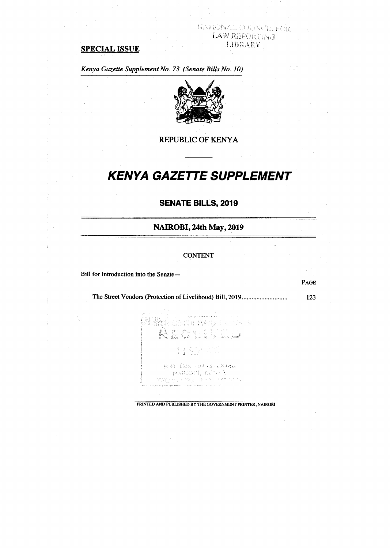### NAHONAL CONNELL ROR LAW REPORTING LIBRARY

## **SPECIAL ISSUE**

*Kenya Gazette Supplement No. 73 (Senate Bills No. 10)* 



#### REPUBLIC OF KENYA

# **KENYA GAZETTE SUPPLEMENT**

### **SENATE BILLS, 2019**

#### **NAIROBI, 24th May, 2019**

#### CONTENT

Bill for Introduction into the Senate—

 $\frac{1}{2}$ 

The Street Vendors (Protection of Livelihood) Bill, 2019 123

PAGE

말한 달라는 다시 있네요 **N C C C** Ngj 镇的部 R.A. Box 10413 (distant **NANCOCI, KINACO** TEG 27 (923) 1987 177

PRINTED AND PUBLISHED BY THE GOVERNMENT PRINTER, NAIROBI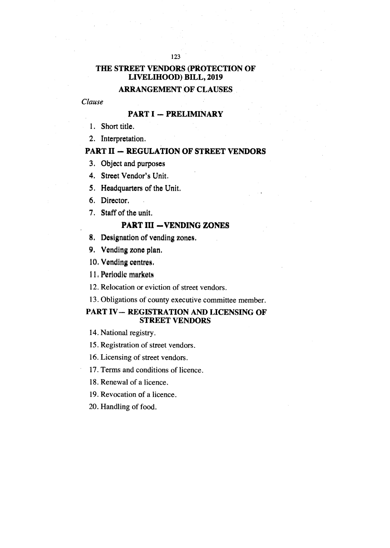#### 123

# **THE STREET VENDORS (PROTECTION OF LIVELIHOOD) BILL, 2019**

# **ARRANGEMENT OF CLAUSES**

### *Clause*

### **PART I — PRELIMINARY**

- 1. Short title.
- 2. Interpretation.

### **PART II — REGULATION OF STREET VENDORS**

- 3. Object and purposes
- 4. Street Vendor's Unit.
- 5. Headquarters of the Unit.
- 6. Director.
- 7. Staff of the unit.

# **PART III —VENDING ZONES**

- 8, Designation of vending zones.
- 9. Vending zone plan.
- 10. Vending centres.
- 11, Periodic markets
- 12. Relocation or eviction of street vendors.
- 13. Obligations of county executive committee member.

### **PART IV— REGISTRATION AND LICENSING OF STREET VENDORS**

14. National registry.

15. Registration of street vendors.

- 16. Licensing of street vendors.
- 17. Terms and conditions of licence.
- 18. Renewal of a licence.
- 19. Revocation of a licence.
- 20. Handling of food.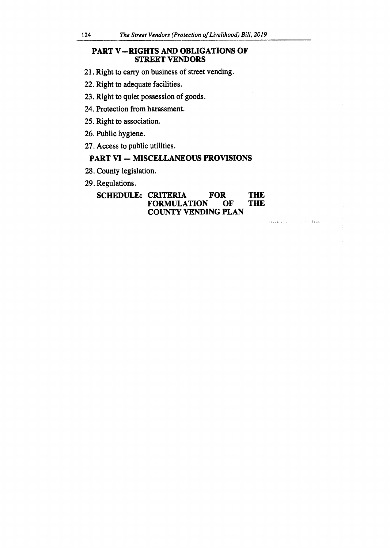### **PART V-RIGHTS AND OBLIGATIONS OF STREET VENDORS**

- 21. Right to carry on business of street vending.
- 22. Right to adequate facilities.
- 23. Right to quiet possession of goods.
- 24. Protection from harassment.
- 25. Right to association.
- 26. Public hygiene.
- 27. Access to public utilities.

### **PART VI — MISCELLANEOUS PROVISIONS**

- 28. County legislation.
- 29. Regulations.

### **SCHEDULE: CRITERIA FOR THE FORMULATION OF THE FORMULATION COUNTY VENDING PLAN**

 $\mathtt{H}$  is  $\mathtt{H}^{\ast} \mathtt{H}^{\ast}$  . Then

 $\sim 1.1\times 10^{10}$  for the  $\epsilon$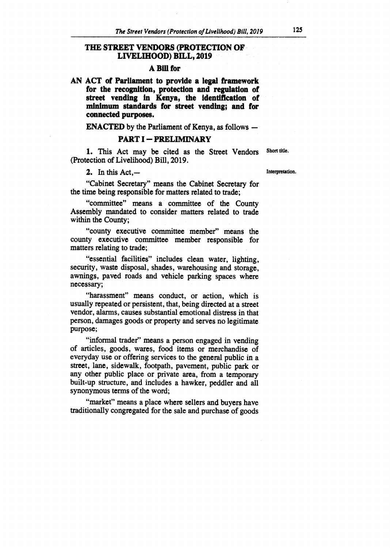### **THE STREET VENDORS (PROTECTION OF LIVELIHOOD) BILL, 2019**

#### **A Bill for**

**AN ACT of Parliament to provide a legal framework for the recognition, protection and regulation of street vending in Kenya, the identification of minimum standards for street vending; and for connected purposes.** 

**ENACTED by the Parliament of Kenya, as follows —** 

#### **PART I — PRELIMINARY**

**1. This Act may be cited as the Street Vendors Short title. (Protection of Livelihood) Bill, 2019.** 

**2. In this Act,— Interpretation.** 

**"Cabinet Secretary" means the Cabinet Secretary for the time being responsible for matters related to trade;** 

**"committee" means a committee of the County Assembly mandated to consider matters related to trade within the County;** 

**"county executive committee member" means the county executive committee member responsible for matters relating to trade;** 

**"essential facilities" includes clean water, lighting, security, waste disposal, shades, warehousing and storage, awnings, paved roads and vehicle parking spaces where necessary;** 

**"harassment" means conduct, or action, which is usually repeated or persistent, that, being directed at a street vendor, alarms, causes substantial emotional distress in that person, damages goods or property and serves no legitimate purpose;** 

**"informal trader" means a person engaged in vending of articles, goods, wares, food items or merchandise of everyday use or offering services to the general public in a street, lane, sidewalk, footpath, pavement, public park or any other public place or private area, from a temporary built-up structure, and includes a hawker, peddler and all synonymous terms of the word;** 

**"market" means a place where sellers and buyers have traditionally congregated for the sale and purchase of goods**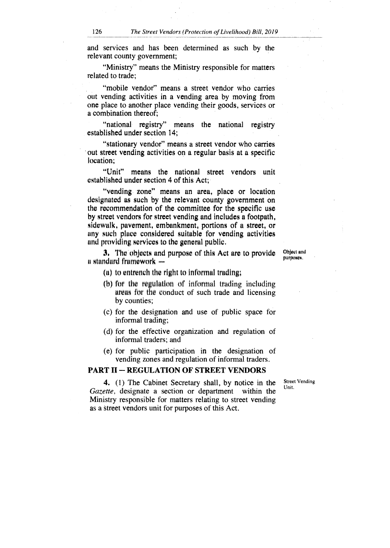and services and has been determined as such by the relevant county government;

"Ministry" means the Ministry responsible for matters related to trade;

"mobile vendor" means a street vendor who carries out vending activities in a vending area by moving from one place to another place vending their goods, services or a combination thereof;

"national registry" means the national registry established under section 14;

"stationary vendor" means a street vendor who carries out street vending activities on a regular basis at a specific location;

"Unit" means the national street vendors unit established under section 4 of this Act;

"vending zone" means an area, place or location designated as such by the relevant county government on the recommendation of the committee for the specific use by street vendors for street vending and includes a footpath, sidewalk, pavement, embankment, portions of a street, or any such place considered suitable for vending activities and providing services to the general public.

**3.** The objects and purpose of this Act are to provide  $i$  standard framework  $=$ 

Object and purposo.

(a) to entrench the right to informal trading;

- (h) for the regulation of informal trading including areas for the Conduct of such trade and licensing by counties;
- (c) for the designation and use of public space for informal trading;
- (d) for the effective organization and regulation of informal traders; and
- (e) for public participation in the designation of vending zones and regulation of informal traders.

#### **PART II — REGULATION OF STREET VENDORS**

Street Vending Unit.

**4.** (1) The Cabinet Secretary shall, by notice in the *Gazette,* designate a section or department within the Ministry responsible for matters relating to street vending as a street vendors unit for purposes of this Act.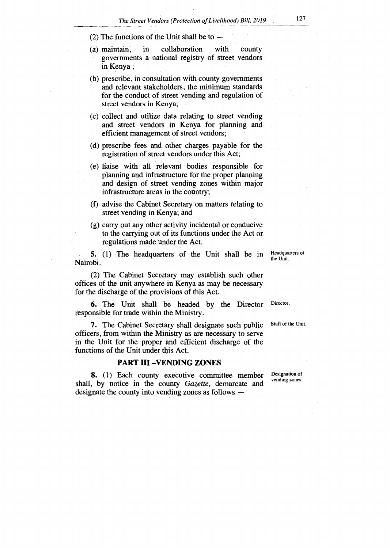- (2) The functions of the Unit shall be to —
- (a) maintain, in collaboration with county governments a national registry of street vendors in Kenya ;
- (b) prescribe, in consultation with county governments and relevant stakeholders, the minimum standards for the conduct of street vending and regulation of street vendors in Kenya;
- (c) collect and utilize data relating to street vending and street vendors in Kenya for planning and efficient management of street vendors;
- (d) prescribe fees and other charges payable for the registration of street vendors under this Act;
- (e) liaise with all relevant bodies responsible for planning and infrastructure for the proper planning and design of street vending zones within major infrastructure areas in the country;
- (f) advise the Cabinet Secretary on matters relating to street vending in Kenya; and
- (g) carry out any other activity incidental or conducive to the carrying out of its functions under the Act or regulations made under the Act.

5. (1) The headquarters of the Unit shall be in Nairobi.

(2) The Cabinet Secretary may establish such other offices of the unit anywhere in Kenya as may be necessary for the discharge of the provisions of this Act.

6. The Unit shall be headed by the Director Director. responsible for trade within the Ministry.

7. The Cabinet Secretary shall designate such public Staff of the Unit. officers, from within the Ministry as are necessary to serve in the Unit for the proper and efficient discharge of the functions of the Unit under this Act.

#### **PART III —VENDING ZONES**

shall, by notice in the county *Gazette,* demarcate and 8. (1) Each county executive committee member designate the county into vending zones as follows —

vending zones. Designation of

Headquarters of the Unit.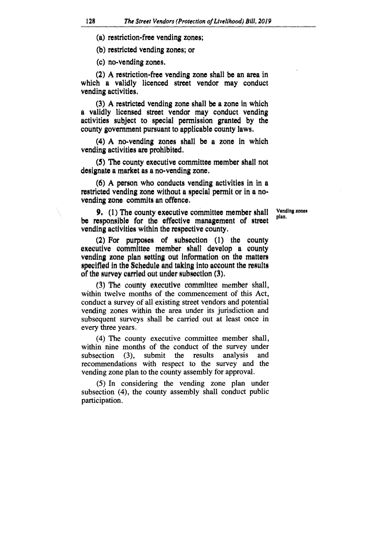(a) restriction-free vending zones;

(b) restricted vending zones; or

(c) no-vending zones.

(2) A restriction-free vending zone shall be an area in which a validly licenced street vendor may conduct vending activities.

(3) A restricted vending zone shall be a zone in which a validly licensed street vendor may conduct vending activities subject to special permission granted by the county government pursuant to applicable county laws.

(4) A no-vending zones shall be a zone in which vending activities are prohibited.

(5) The county executive committee member shall not designate a market as a no-vending zone.

(6) A person who conducts vending activities in in a restricted vending zone without a special permit or in a novending zone commits an offence.

> Vending zones plan.

**9.** (1) The county executive committee member shall be responsible for the effective management of street vending activities within the respective county.

(2) For purposes of subsection (1) the county executive committee member shall develop a county vending zone plan setting out information on the matters specified In the Schedule and taking Into account the results of the survey carried out under subsection (3).

(3) The county executive committee member shall. within twelve months of the commencement of this Act, conduct a survey of all existing street vendors and potential vending zones within the area under its jurisdiction and subsequent surveys shall be carried out at least once in every three years.

(4) The county executive committee member shall, within nine months of the conduct of the survey under<br>subsection (3), submit the results analysis and subsection (3), submit the results analysis and recommendations with respect to the survey and the vending zone plan to the county assembly for approval.

(5) In considering the vending zone plan under subsection (4), the county assembly shall conduct public participation.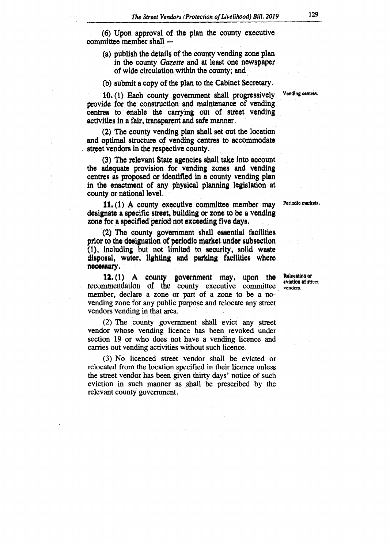(6) Upon approval of the plan the county executive committee member shall -

- (a) publish the details of the county vending zone plan in the county *Gazette* and at least one newspaper of wide circulation within the county; and
- (b) submit a copy of the plan to the Cabinet Secretary.

10. (1) Each county government shall progressively Vending centres. provide for the construction **and** maintenance of vending centres to enable the carrying out of street vending activities in a fair, transparent and safe manner.

(2) The county vending plan shall set out the location and optimal structure of vending centres to accommodate . street vendors in the respective county.

(3) The relevant State agencies shall take into account the adequate provision for vending zones and vending centres as proposed or identified in a county vending plan in the enactment of any physical planning legislation at county or national level.

11. (1) A county executive committee member may Periodic markets. designate a specific street, building or zone to be a vending zone for a specified period not exceeding five days.

(2) The county government shall essential facilities prior to the designation of periodic market under subsection (1), including but not limited to security, solid waste disposal, water, lighting and parking facilities where necessary.

**12.** (1) A county government may, upon the Relevation of recommendation of the county executive committee vendors. member, declare a zone or part of a zone to be a novending zone for any public purpose and relocate any street vendors vending in that area.

(2) The county government shall evict any street vendor whose vending licence has been revoked under section 19 or who does not have a vending licence and carries out vending activities without such licence.

(3) No licenced street vendor shall be evicted or relocated from the location specified in their licence unless the street vendor has been given thirty days' notice of such eviction in such manner as shall be prescribed by the relevant county government.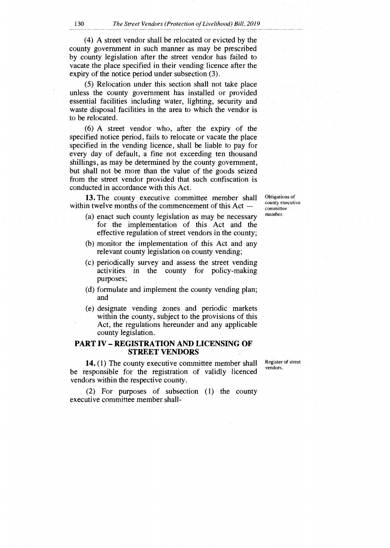(4) A street vendor shall be relocated or evicted by the county government in such manner as may be prescribed by county legislation after the street vendor has failed to vacate the place specified in their vending licence after the expiry of the notice period under subsection (3).

(5) Relocation under this section shall not take place unless the county government has installed or provided essential facilities including water, lighting, security and waste disposal facilities in the area to which the vendor is to be relocated.

(6) A street vendor who, after the expiry of the specified notice period, fails to relocate or vacate the place specified in the vending licence, shall be liable to pay for every day of default, a fine not exceeding ten thousand shillings, as may be determined by the county government, but shall not be more than the value of the goods seized from the street vendor provided that such confiscation is conducted in accordance with this Act.

**13.** The county executive committee member shall within twelve months of the commencement of this Act —

- (a) enact such county legislation as may be necessary for the implementation of this Act and the effective regulation of street vendors in the county;
- (b) monitor the implementation of this Act and any relevant county legislation on county vending;
- (c) periodically survey and assess the street vending activities in the county for policy-making purposes;
- (d) formulate and implement the county vending plan; and
- (e) designate vending zones and periodic markets within the county, subject to the provisions of this Act, the regulations hereunder and any applicable county legislation.

#### **PART IV — REGISTRATION AND LICENSING OF STREET VENDORS**

**14.** (1) The county executive committee member shall be responsible for the registration of validly licenced vendors within the respective county.

(2) For purposes of subsection (1) the county executive committee member shallObligations of county executive committee member.

Register of street vendors.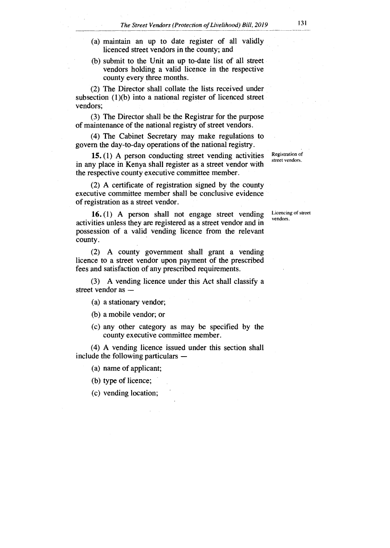- (a) maintain an up to date register of all validly licenced street vendors in the county; and
- (b) submit to the Unit an up to-date list of all street vendors holding a valid licence in the respective county every three months.

(2) The Director shall collate the lists received under subsection (1)(b) into a national register of licenced street vendors;

(3) The Director shall be the Registrar for the purpose of maintenance of the national registry of street vendors.

(4) The Cabinet Secretary may make regulations to govern the day-to-day operations of the national registry.

15. (1) A person conducting street vending activities in any place in Kenya shall register as a street vendor with the respective county executive committee member.

(2) A certificate of registration signed by the county executive committee member shall be conclusive evidence of registration as a street vendor.

16. (1) A person shall not engage street vending activities unless they are registered as a street vendor and in possession of a valid vending licence from the relevant county.

(2) A county government shall grant a vending licence to a street vendor upon payment of the prescribed fees and satisfaction of any prescribed requirements.

(3) A vending licence under this Act shall classify a street vendor as —

(a) a stationary vendor;

(b) a mobile vendor; or

(c) any other category as may be specified by the county executive committee member.

(4) A vending licence issued under this section shall include the following particulars —

(a) name of applicant;

(b) type of licence;

(c) vending location;

Registration of street vendors.

Licencing of street vendors.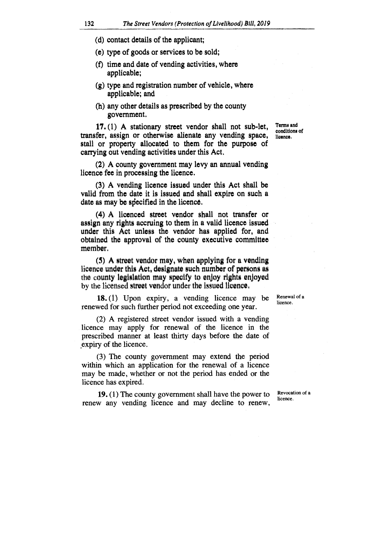- **(d) contact details of the applicant;**
- **(e) type of goods or services to be sold;**
- **(f) time and date of vending activities, where applicable;**
- **(g) type and registration number of vehicle, where applicable; and**
- **(h) any other details as prescribed by the county government.**

**17. (1) A stationary street vendor shall not sub-let, transfer, assign or otherwise alienate any vending space, stall or property allocated to them for the purpose of carrying out vending activities under this Act,** 

**Term. and conditions of licence.** 

**(2) A county government may levy an annual vending licence fee in processing the licence.** 

**(3) A vending licence issued under this Act shall be valid from the date it is issued and shall expire on such a date as may be specified in the licence.** 

**(4) A licensed street vendor shall not transfer or assign any rights accruing to them in a valid licence issued under this Act unless the vendor has applied for, and obtained the approval of the county executive committee member.** 

**(5) A street vendor may, when applying for a vending**  licence under this Act, designate such number of persons as the county legislation may specify to enjoy rights enjoyed by the licensed street vendor under the issued licence.

18. (1) Upon expiry, a vending licence may be renewed for such further period not exceeding one year.

(2) A registered street vendor issued with a vending licence may apply for renewal of the licence in the prescribed manner at least thirty days before the date of expiry of the licence.

(3) The county government may extend the period within which an application for the renewal of a licence may be made, whether or not the period has ended or the licence has expired.

**19.** (1) The county government shall have the power to renew any vending licence and may decline to renew, Revocation of a licence.

Renewal of a licence.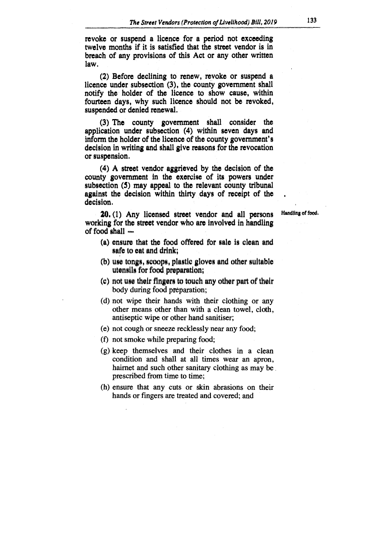**revoke or suspend a licence** *for* **a period not exceeding twelve months if it is satisfied that the street vendor is in breach of any provisions of this Act or any other written law.** 

**(2) Before declining to renew, revoke or suspend a licence under subsection (3), the county government shall notify the holder of the licence to show cause, within fourteen days, why such licence should not be revoked, suspended or denied renewal.** 

**(3) The county government shall consider the application under subsection (4) within seven days and inform the holder of the licence of the county government's decision in writing and shall give reasons for the revocation or suspension.** 

**(4) A street vendor aggrieved by the decision of the county government in the exercise of its powers under subsection (5) may appeal to the relevant county tribunal against the decision within thirty days of receipt of the decision.** 

**20.** (1) Any licensed street vendor and all persons Handling of food. **working for the street vendor who are involved in handling of food shall —** 

- **(a) ensure that the food offered for sale is clean and safe to eat and drink;**
- **(b) use tongs, scoops, plastic gloves and other suitable utensils for food preparation;**
- **(c) not use their fingers to touch any other part of their**  body during food preparation;
- (d) not wipe their hands with their clothing or any other means other than with a clean towel, cloth, antiseptic wipe or other hand sanitiser;
- (e) not cough or sneeze recklessly near any food;
- (f) not smoke while preparing food;
- (g) keep themselves and their clothes in a clean condition and shall at all times wear an apron, hairnet and such other sanitary clothing as may be prescribed from time to time;
- (h) ensure that any cuts or skin abrasions on their hands or fingers are treated and covered; and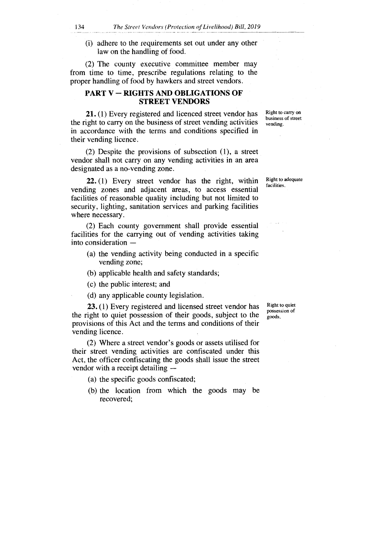(i) adhere to the requirements set out under any other law on the handling of food.

(2) The county executive committee member may from time to time, prescribe regulations relating to the proper handling of food by hawkers and street vendors.

### **PART V — RIGHTS AND OBLIGATIONS OF STREET VENDORS**

**21.** (1) Every registered and licenced street vendor has the right to carry on the business of street vending activities in accordance with the terms and conditions specified in their vending licence.

(2) Despite the provisions of subsection (1), a street vendor shall not carry on any vending activities in an area designated as a no-vending zone.

**22. (1)** Every street vendor has the right, within vending zones and adjacent areas, to access essential facilities of reasonable quality including but not limited to security, lighting, sanitation services and parking facilities where necessary.

(2) Each county government shall provide essential facilities for the carrying out of vending activities taking into consideration —

- (a) the vending activity being conducted in a specific vending zone;
- (b) applicable health and safety standards;
- (c) the public interest; and
- (d) any applicable county legislation.

**23.** (1) Every registered and licensed street vendor has the right to quiet possession of their goods, subject to the provisions of this Act and the tenns and conditions of their vending licence.

(2) Where a street vendor's goods or assets utilised for their street vending activities are confiscated under this Act, the officer confiscating the goods shall issue the street vendor with a receipt detailing —

- (a) the specific goods confiscated;
- (b) the location from which the goods may be recovered;

Right to quiet possession of goods.

Right to adequate facilities.

Right to carry on business of street vending.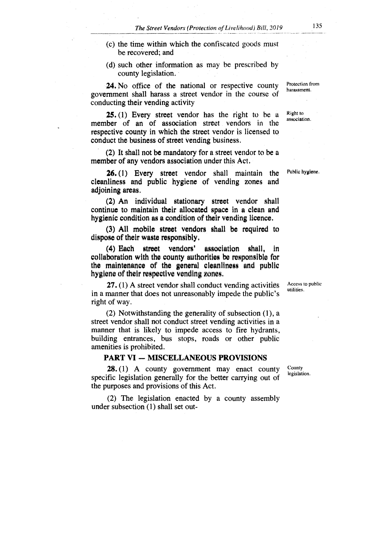- **(c) the time within which the confiscated goods must be recovered; and**
- **(d) such other information as may be prescribed by county legislation.**

**24. No office of the national or respective county government shall harass a street vendor in the course of conducting their vending activity** 

**25. (1) Every street vendor has the right to be a member of an of association street vendors in the respective county in which the street vendor is licensed to conduct the business of street vending business.** 

**(2) It shall not be mandatory for a street vendor to be a member of any vendors association under this** Act.

26. (1) Every street vendor shall maintain the cleanliness and public hygiene of vending zones and adjoining areas.

(2) An individual stationary street vendor shall continue to maintain their allocated space in a clean and hygienic condition as a condition of their vending licence.

(3) All mobile street vendors shall be required to dispose of their waste responsibly.

(4) Each street vendors' association shall, In collaboration with the county authorities be responsible for the maintenance of the general cleanliness and public hygiene of their respective vending zones.

27. (1) A street vendor shall conduct vending activities in a manner that does not unreasonably impede the public's right of way.

(2) Notwithstanding the generality of subsection (1), a street vendor shall not conduct street vending activities in a manner that is likely to impede access to fire hydrants, building entrances, bus stops, roads or other public amenities is prohibited.

#### **PART VI — MISCELLANEOUS PROVISIONS**

**28. (1)** A county government may enact county specific legislation generally for the better carrying out of the purposes and provisions of this Act.

(2) The legislation enacted by a county assembly under subsection (1) shall set outCounty legislation.

Access to public utilities.

**Right** to

association.

Protection from harassment.

Public hygiene.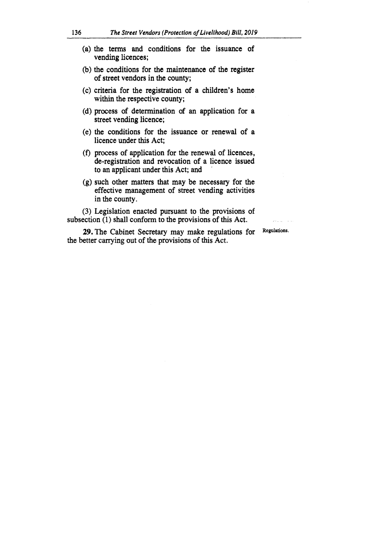- **(a) the terms and conditions for the issuance of vending licences;**
- **(b) the conditions for the maintenance of the register of street vendors in the county;**
- **(c) criteria for the registration of a children's home within the respective county;**
- **(d) process of determination of an application for a street vending licence;**
- **(e) the conditions for the issuance or renewal of a licence under this Act;**
- **(f) process of application for the renewal of licences, de-registration and revocation of a licence issued to an applicant under this Act; and**
- **(g) such other matters that may be necessary for the effective management of street vending activities in the county.**

**(3) Legislation enacted pursuant to the provisions of subsection (1) shall conform to the provisions of this Act.** 

**29. The Cabinet Secretary may make regulations for the better carrying out of the provisions of this Act.** 

**Regulations.**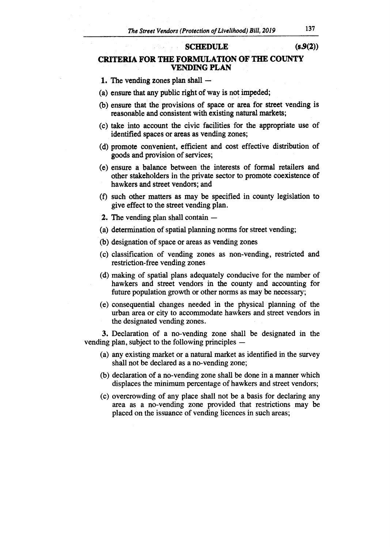#### **SCHEDULE (s.9(2))**

# **CRITERIA FOR THE FORMULATION OF THE COUNTY VENDING PLAN**

- **1.** The vending zones plan shall --
- (a) ensure that any public right of way is not impeded;
- (b) ensure that the provisions of space or area for street vending is reasonable and consistent with existing natural markets;
- (c) take into account the civic facilities for the appropriate use of identified spaces or areas as vending zones;
- (d) promote convenient, efficient and cost effective distribution of goods and provision of services;
- (e) ensure a balance between the interests of formal retailers and other stakeholders in the private sector to promote coexistence of hawkers and street vendors; and
- (f) such other matters as may be specified in county legislation to give effect to the street vending plan.
- **2.** The vending plan shall contain —
- (a) determination of spatial planning norms for street vending;
- (b) designation of space or areas as vending zones
- (c) classification of vending zones as non-vending, restricted and restriction-free vending zones
- (d) making of spatial plans adequately conducive for the number of hawkers and street vendors in the county and accounting for future population growth or other norms as may be necessary;
- (e) consequential changes needed in the physical planning of the urban area or city to accommodate hawkers and street vendors in the designated vending zones.

**3.** Declaration of a no-vending zone shall be designated in the vending plan, subject to the following principles —

- (a) any existing market or a natural market as identified in the survey shall not be declared as a no-vending zone;
- (b) declaration of a no-vending zone shall be done in a manner which displaces the minimum percentage of hawkers and street vendors;
- (c) overcrowding of any place shall not be a basis for declaring any area as a no-vending zone provided that restrictions may be placed on the issuance of vending licences in such areas;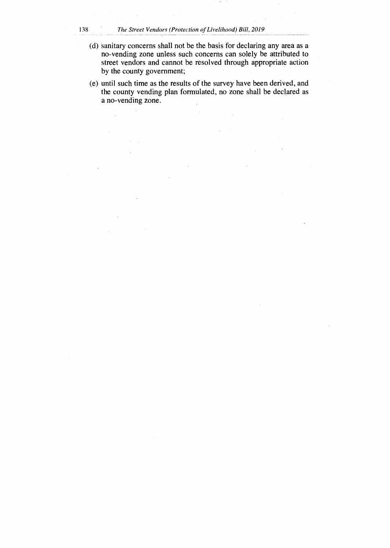#### 138 *The Street Vendors (Protection of Livelihood) Bill, 2019*

- (d) sanitary concerns shall not be the basis for declaring any area as a no-vending zone unless such concerns can solely be attributed to street vendors and cannot be resolved through appropriate action by the county government;
- (e) until such time as the results of the survey have been derived, and the county vending plan formulated, no zone shall be declared as a no-vending zone.
-